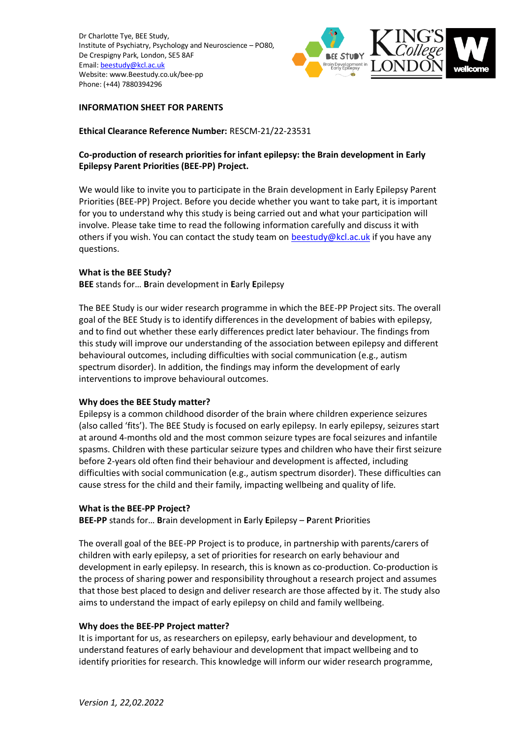

### **INFORMATION SHEET FOR PARENTS**

**Ethical Clearance Reference Number:** RESCM-21/22-23531

# **Co-production of research priorities for infant epilepsy: the Brain development in Early Epilepsy Parent Priorities (BEE-PP) Project.**

We would like to invite you to participate in the Brain development in Early Epilepsy Parent Priorities (BEE-PP) Project. Before you decide whether you want to take part, it is important for you to understand why this study is being carried out and what your participation will involve. Please take time to read the following information carefully and discuss it with others if you wish. You can contact the study team on [beestudy@kcl.ac.uk](mailto:beestudy@kcl.ac.uk) if you have any questions.

### **What is the BEE Study?**

**BEE** stands for… **B**rain development in **E**arly **E**pilepsy

The BEE Study is our wider research programme in which the BEE-PP Project sits. The overall goal of the BEE Study is to identify differences in the development of babies with epilepsy, and to find out whether these early differences predict later behaviour. The findings from this study will improve our understanding of the association between epilepsy and different behavioural outcomes, including difficulties with social communication (e.g., autism spectrum disorder). In addition, the findings may inform the development of early interventions to improve behavioural outcomes.

### **Why does the BEE Study matter?**

Epilepsy is a common childhood disorder of the brain where children experience seizures (also called 'fits'). The BEE Study is focused on early epilepsy. In early epilepsy, seizures start at around 4-months old and the most common seizure types are focal seizures and infantile spasms. Children with these particular seizure types and children who have their first seizure before 2-years old often find their behaviour and development is affected, including difficulties with social communication (e.g., autism spectrum disorder). These difficulties can cause stress for the child and their family, impacting wellbeing and quality of life.

### **What is the BEE-PP Project?**

**BEE-PP** stands for… **B**rain development in **E**arly **E**pilepsy – **P**arent **P**riorities

The overall goal of the BEE-PP Project is to produce, in partnership with parents/carers of children with early epilepsy, a set of priorities for research on early behaviour and development in early epilepsy. In research, this is known as co-production. Co-production is the process of sharing power and responsibility throughout a research project and assumes that those best placed to design and deliver research are those affected by it. The study also aims to understand the impact of early epilepsy on child and family wellbeing.

### **Why does the BEE-PP Project matter?**

It is important for us, as researchers on epilepsy, early behaviour and development, to understand features of early behaviour and development that impact wellbeing and to identify priorities for research. This knowledge will inform our wider research programme,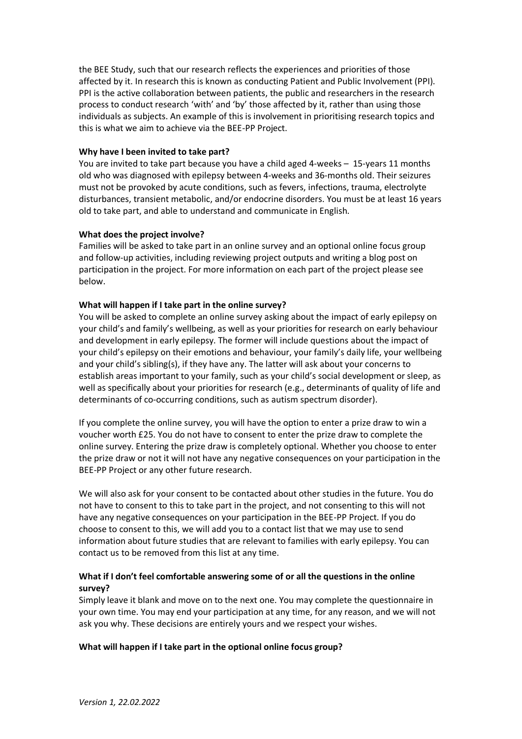the BEE Study, such that our research reflects the experiences and priorities of those affected by it. In research this is known as conducting Patient and Public Involvement (PPI). PPI is the active collaboration between patients, the public and researchers in the research process to conduct research 'with' and 'by' those affected by it, rather than using those individuals as subjects. An example of this is involvement in prioritising research topics and this is what we aim to achieve via the BEE-PP Project.

### **Why have I been invited to take part?**

You are invited to take part because you have a child aged 4-weeks – 15-years 11 months old who was diagnosed with epilepsy between 4-weeks and 36-months old. Their seizures must not be provoked by acute conditions, such as fevers, infections, trauma, electrolyte disturbances, transient metabolic, and/or endocrine disorders. You must be at least 16 years old to take part, and able to understand and communicate in English.

### **What does the project involve?**

Families will be asked to take part in an online survey and an optional online focus group and follow-up activities, including reviewing project outputs and writing a blog post on participation in the project. For more information on each part of the project please see below.

# **What will happen if I take part in the online survey?**

You will be asked to complete an online survey asking about the impact of early epilepsy on your child's and family's wellbeing, as well as your priorities for research on early behaviour and development in early epilepsy. The former will include questions about the impact of your child's epilepsy on their emotions and behaviour, your family's daily life, your wellbeing and your child's sibling(s), if they have any. The latter will ask about your concerns to establish areas important to your family, such as your child's social development or sleep, as well as specifically about your priorities for research (e.g., determinants of quality of life and determinants of co-occurring conditions, such as autism spectrum disorder).

If you complete the online survey, you will have the option to enter a prize draw to win a voucher worth £25. You do not have to consent to enter the prize draw to complete the online survey. Entering the prize draw is completely optional. Whether you choose to enter the prize draw or not it will not have any negative consequences on your participation in the BEE-PP Project or any other future research.

We will also ask for your consent to be contacted about other studies in the future. You do not have to consent to this to take part in the project, and not consenting to this will not have any negative consequences on your participation in the BEE-PP Project. If you do choose to consent to this, we will add you to a contact list that we may use to send information about future studies that are relevant to families with early epilepsy. You can contact us to be removed from this list at any time.

# **What if I don't feel comfortable answering some of or all the questions in the online survey?**

Simply leave it blank and move on to the next one. You may complete the questionnaire in your own time. You may end your participation at any time, for any reason, and we will not ask you why. These decisions are entirely yours and we respect your wishes.

### **What will happen if I take part in the optional online focus group?**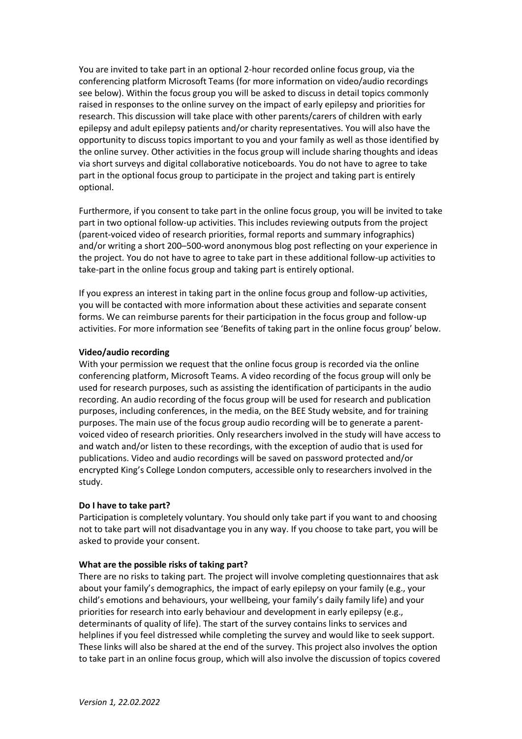You are invited to take part in an optional 2-hour recorded online focus group, via the conferencing platform Microsoft Teams (for more information on video/audio recordings see below). Within the focus group you will be asked to discuss in detail topics commonly raised in responses to the online survey on the impact of early epilepsy and priorities for research. This discussion will take place with other parents/carers of children with early epilepsy and adult epilepsy patients and/or charity representatives. You will also have the opportunity to discuss topics important to you and your family as well as those identified by the online survey. Other activities in the focus group will include sharing thoughts and ideas via short surveys and digital collaborative noticeboards. You do not have to agree to take part in the optional focus group to participate in the project and taking part is entirely optional.

Furthermore, if you consent to take part in the online focus group, you will be invited to take part in two optional follow-up activities. This includes reviewing outputs from the project (parent-voiced video of research priorities, formal reports and summary infographics) and/or writing a short 200–500-word anonymous blog post reflecting on your experience in the project. You do not have to agree to take part in these additional follow-up activities to take-part in the online focus group and taking part is entirely optional.

If you express an interest in taking part in the online focus group and follow-up activities, you will be contacted with more information about these activities and separate consent forms. We can reimburse parents for their participation in the focus group and follow-up activities. For more information see 'Benefits of taking part in the online focus group' below.

### **Video/audio recording**

With your permission we request that the online focus group is recorded via the online conferencing platform, Microsoft Teams. A video recording of the focus group will only be used for research purposes, such as assisting the identification of participants in the audio recording. An audio recording of the focus group will be used for research and publication purposes, including conferences, in the media, on the BEE Study website, and for training purposes. The main use of the focus group audio recording will be to generate a parentvoiced video of research priorities. Only researchers involved in the study will have access to and watch and/or listen to these recordings, with the exception of audio that is used for publications. Video and audio recordings will be saved on password protected and/or encrypted King's College London computers, accessible only to researchers involved in the study.

### **Do I have to take part?**

Participation is completely voluntary. You should only take part if you want to and choosing not to take part will not disadvantage you in any way. If you choose to take part, you will be asked to provide your consent.

### **What are the possible risks of taking part?**

There are no risks to taking part. The project will involve completing questionnaires that ask about your family's demographics, the impact of early epilepsy on your family (e.g., your child's emotions and behaviours, your wellbeing, your family's daily family life) and your priorities for research into early behaviour and development in early epilepsy (e.g., determinants of quality of life). The start of the survey contains links to services and helplines if you feel distressed while completing the survey and would like to seek support. These links will also be shared at the end of the survey. This project also involves the option to take part in an online focus group, which will also involve the discussion of topics covered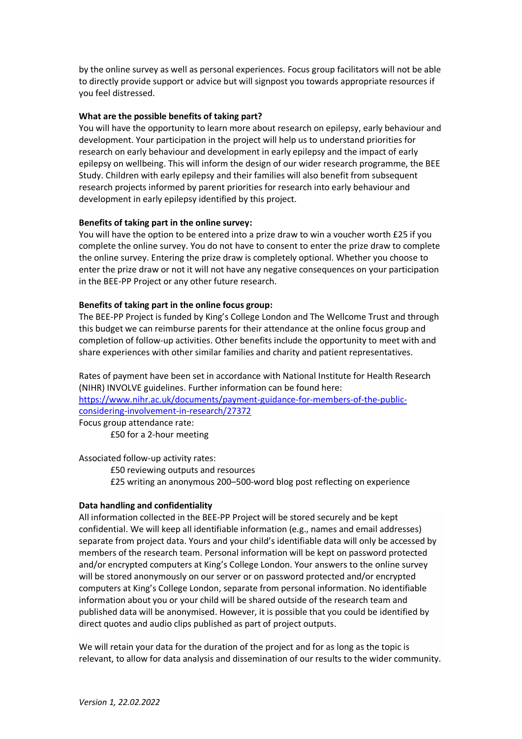by the online survey as well as personal experiences. Focus group facilitators will not be able to directly provide support or advice but will signpost you towards appropriate resources if you feel distressed.

#### **What are the possible benefits of taking part?**

You will have the opportunity to learn more about research on epilepsy, early behaviour and development. Your participation in the project will help us to understand priorities for research on early behaviour and development in early epilepsy and the impact of early epilepsy on wellbeing. This will inform the design of our wider research programme, the BEE Study. Children with early epilepsy and their families will also benefit from subsequent research projects informed by parent priorities for research into early behaviour and development in early epilepsy identified by this project.

#### **Benefits of taking part in the online survey:**

You will have the option to be entered into a prize draw to win a voucher worth £25 if you complete the online survey. You do not have to consent to enter the prize draw to complete the online survey. Entering the prize draw is completely optional. Whether you choose to enter the prize draw or not it will not have any negative consequences on your participation in the BEE-PP Project or any other future research.

#### **Benefits of taking part in the online focus group:**

The BEE-PP Project is funded by King's College London and The Wellcome Trust and through this budget we can reimburse parents for their attendance at the online focus group and completion of follow-up activities. Other benefits include the opportunity to meet with and share experiences with other similar families and charity and patient representatives.

Rates of payment have been set in accordance with National Institute for Health Research (NIHR) INVOLVE guidelines. Further information can be found here: [https://www.nihr.ac.uk/documents/payment-guidance-for-members-of-the-public](https://www.nihr.ac.uk/documents/payment-guidance-for-members-of-the-public-considering-involvement-in-research/27372#Section_2_-_Payment_for_involvement)[considering-involvement-in-research/27372](https://www.nihr.ac.uk/documents/payment-guidance-for-members-of-the-public-considering-involvement-in-research/27372#Section_2_-_Payment_for_involvement) Focus group attendance rate:

£50 for a 2-hour meeting

Associated follow-up activity rates:

£50 reviewing outputs and resources £25 writing an anonymous 200–500-word blog post reflecting on experience

### **Data handling and confidentiality**

All information collected in the BEE-PP Project will be stored securely and be kept confidential. We will keep all identifiable information (e.g., names and email addresses) separate from project data. Yours and your child's identifiable data will only be accessed by members of the research team. Personal information will be kept on password protected and/or encrypted computers at King's College London. Your answers to the online survey will be stored anonymously on our server or on password protected and/or encrypted computers at King's College London, separate from personal information. No identifiable information about you or your child will be shared outside of the research team and published data will be anonymised. However, it is possible that you could be identified by direct quotes and audio clips published as part of project outputs.

We will retain your data for the duration of the project and for as long as the topic is relevant, to allow for data analysis and dissemination of our results to the wider community.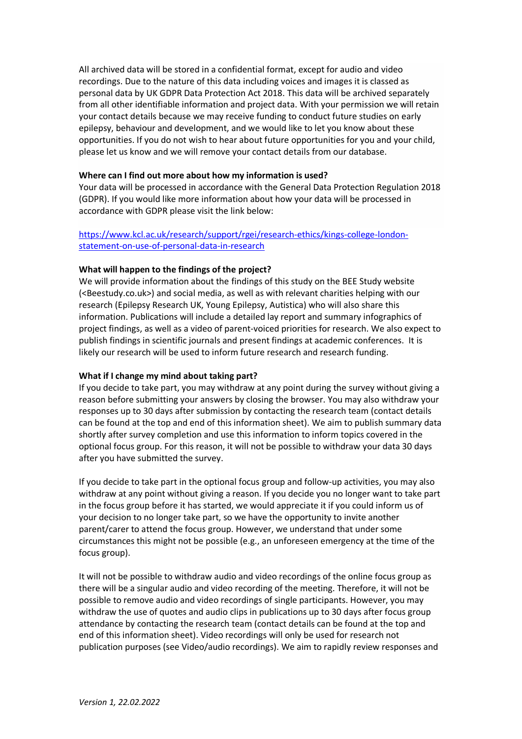All archived data will be stored in a confidential format, except for audio and video recordings. Due to the nature of this data including voices and images it is classed as personal data by UK GDPR Data Protection Act 2018. This data will be archived separately from all other identifiable information and project data. With your permission we will retain your contact details because we may receive funding to conduct future studies on early epilepsy, behaviour and development, and we would like to let you know about these opportunities. If you do not wish to hear about future opportunities for you and your child, please let us know and we will remove your contact details from our database.

### **Where can I find out more about how my information is used?**

Your data will be processed in accordance with the General Data Protection Regulation 2018 (GDPR). If you would like more information about how your data will be processed in accordance with GDPR please visit the link below:

# [https://www.kcl.ac.uk/research/support/rgei/research-ethics/kings-college-london](https://www.kcl.ac.uk/research/support/rgei/research-ethics/kings-college-london-statement-on-use-of-personal-data-in-research)[statement-on-use-of-personal-data-in-research](https://www.kcl.ac.uk/research/support/rgei/research-ethics/kings-college-london-statement-on-use-of-personal-data-in-research)

# **What will happen to the findings of the project?**

We will provide information about the findings of this study on the BEE Study website (<Beestudy.co.uk>) and social media, as well as with relevant charities helping with our research (Epilepsy Research UK, Young Epilepsy, Autistica) who will also share this information. Publications will include a detailed lay report and summary infographics of project findings, as well as a video of parent-voiced priorities for research. We also expect to publish findings in scientific journals and present findings at academic conferences. It is likely our research will be used to inform future research and research funding.

# **What if I change my mind about taking part?**

If you decide to take part, you may withdraw at any point during the survey without giving a reason before submitting your answers by closing the browser. You may also withdraw your responses up to 30 days after submission by contacting the research team (contact details can be found at the top and end of this information sheet). We aim to publish summary data shortly after survey completion and use this information to inform topics covered in the optional focus group. For this reason, it will not be possible to withdraw your data 30 days after you have submitted the survey.

If you decide to take part in the optional focus group and follow-up activities, you may also withdraw at any point without giving a reason. If you decide you no longer want to take part in the focus group before it has started, we would appreciate it if you could inform us of your decision to no longer take part, so we have the opportunity to invite another parent/carer to attend the focus group. However, we understand that under some circumstances this might not be possible (e.g., an unforeseen emergency at the time of the focus group).

It will not be possible to withdraw audio and video recordings of the online focus group as there will be a singular audio and video recording of the meeting. Therefore, it will not be possible to remove audio and video recordings of single participants. However, you may withdraw the use of quotes and audio clips in publications up to 30 days after focus group attendance by contacting the research team (contact details can be found at the top and end of this information sheet). Video recordings will only be used for research not publication purposes (see Video/audio recordings). We aim to rapidly review responses and